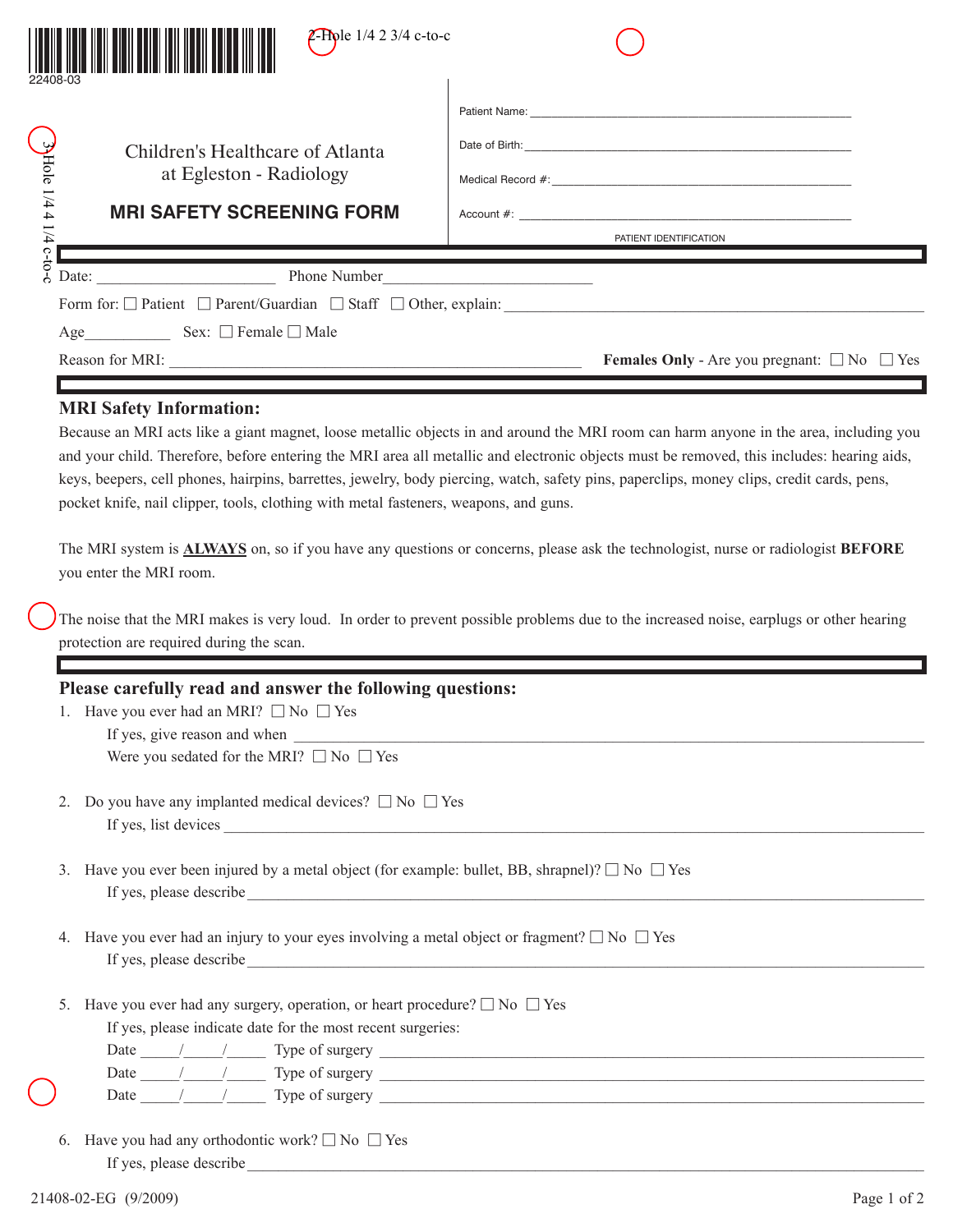| <b>2-Hole</b> $1/4$ 2 3/4 c-to-c                                                                                                                                                                              |                                                                                                                                                                                                                                                                                                                                                                                                                                                                                                                                                                                                                                                                                                                            |
|---------------------------------------------------------------------------------------------------------------------------------------------------------------------------------------------------------------|----------------------------------------------------------------------------------------------------------------------------------------------------------------------------------------------------------------------------------------------------------------------------------------------------------------------------------------------------------------------------------------------------------------------------------------------------------------------------------------------------------------------------------------------------------------------------------------------------------------------------------------------------------------------------------------------------------------------------|
| 3-Hole 1/4 4 1/4 c-to-c<br>Children's Healthcare of Atlanta<br>at Egleston - Radiology<br><b>MRI SAFETY SCREENING FORM</b>                                                                                    | PATIENT IDENTIFICATION                                                                                                                                                                                                                                                                                                                                                                                                                                                                                                                                                                                                                                                                                                     |
| Age Sex: $\Box$ Female $\Box$ Male                                                                                                                                                                            | <b>Females Only</b> - Are you pregnant: $\Box$ No $\Box$ Yes                                                                                                                                                                                                                                                                                                                                                                                                                                                                                                                                                                                                                                                               |
| <b>MRI Safety Information:</b><br>pocket knife, nail clipper, tools, clothing with metal fasteners, weapons, and guns.<br>you enter the MRI room.<br>protection are required during the scan.                 | Because an MRI acts like a giant magnet, loose metallic objects in and around the MRI room can harm anyone in the area, including you<br>and your child. Therefore, before entering the MRI area all metallic and electronic objects must be removed, this includes: hearing aids,<br>keys, beepers, cell phones, hairpins, barrettes, jewelry, body piercing, watch, safety pins, paperclips, money clips, credit cards, pens,<br>The MRI system is <b>ALWAYS</b> on, so if you have any questions or concerns, please ask the technologist, nurse or radiologist <b>BEFORE</b><br>The noise that the MRI makes is very loud. In order to prevent possible problems due to the increased noise, earplugs or other hearing |
| Please carefully read and answer the following questions:<br>Have you ever had an MRI? $\Box$ No $\Box$ Yes<br>Were you sedated for the MRI? $\Box$ No $\Box$ Yes                                             | If yes, give reason and when years and when                                                                                                                                                                                                                                                                                                                                                                                                                                                                                                                                                                                                                                                                                |
| Do you have any implanted medical devices? $\square$ No $\square$ Yes<br>2.<br>If yes, list devices                                                                                                           |                                                                                                                                                                                                                                                                                                                                                                                                                                                                                                                                                                                                                                                                                                                            |
| Have you ever been injured by a metal object (for example: bullet, BB, shrapnel)? $\square$ No $\square$ Yes<br>3 <sub>1</sub>                                                                                |                                                                                                                                                                                                                                                                                                                                                                                                                                                                                                                                                                                                                                                                                                                            |
| Have you ever had an injury to your eyes involving a metal object or fragment? $\square$ No $\square$ Yes<br>4.                                                                                               |                                                                                                                                                                                                                                                                                                                                                                                                                                                                                                                                                                                                                                                                                                                            |
| Have you ever had any surgery, operation, or heart procedure? $\square$ No $\square$ Yes<br>5.<br>If yes, please indicate date for the most recent surgeries:<br>Date $\frac{1}{\sqrt{2\pi}}$ Type of surgery |                                                                                                                                                                                                                                                                                                                                                                                                                                                                                                                                                                                                                                                                                                                            |

Date  $\frac{1}{\sqrt{2}}$  Type of surgery

Date  $\frac{1}{\sqrt{2}}$  Type of surgery  $\frac{1}{\sqrt{2}}$  and  $\frac{1}{\sqrt{2}}$  and  $\frac{1}{\sqrt{2}}$  and  $\frac{1}{\sqrt{2}}$  and  $\frac{1}{\sqrt{2}}$  and  $\frac{1}{\sqrt{2}}$  and  $\frac{1}{\sqrt{2}}$  and  $\frac{1}{\sqrt{2}}$  and  $\frac{1}{\sqrt{2}}$  and  $\frac{1}{\sqrt{2}}$  and  $\frac{1}{\sqrt{2}}$  and

6. Have you had any orthodontic work?  $\square$  No  $\square$  Yes If yes, please describe\_\_\_\_\_\_\_\_\_\_\_\_\_\_\_\_\_\_\_\_\_\_\_\_\_\_\_\_\_\_\_\_\_\_\_\_\_\_\_\_\_\_\_\_\_\_\_\_\_\_\_\_\_\_\_\_\_\_\_\_\_\_\_\_\_\_\_\_\_\_\_\_\_\_\_\_\_\_\_\_\_\_\_\_\_\_\_